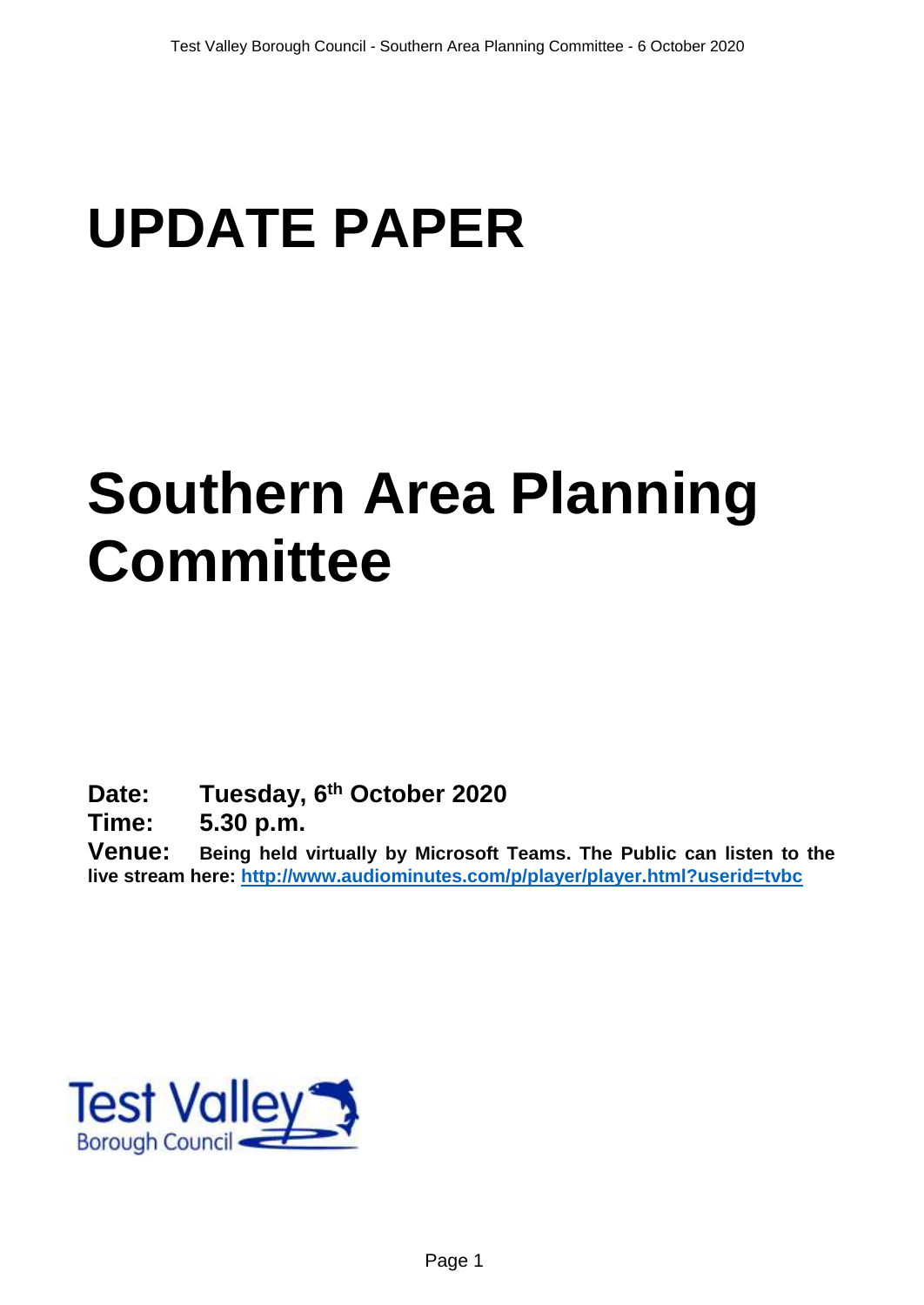# **UPDATE PAPER**

# **Southern Area Planning Committee**

**Date: Tuesday, 6 th October 2020**

**Time: 5.30 p.m.**

**Venue: Being held virtually by Microsoft Teams. The Public can listen to the live stream here:<http://www.audiominutes.com/p/player/player.html?userid=tvbc>**

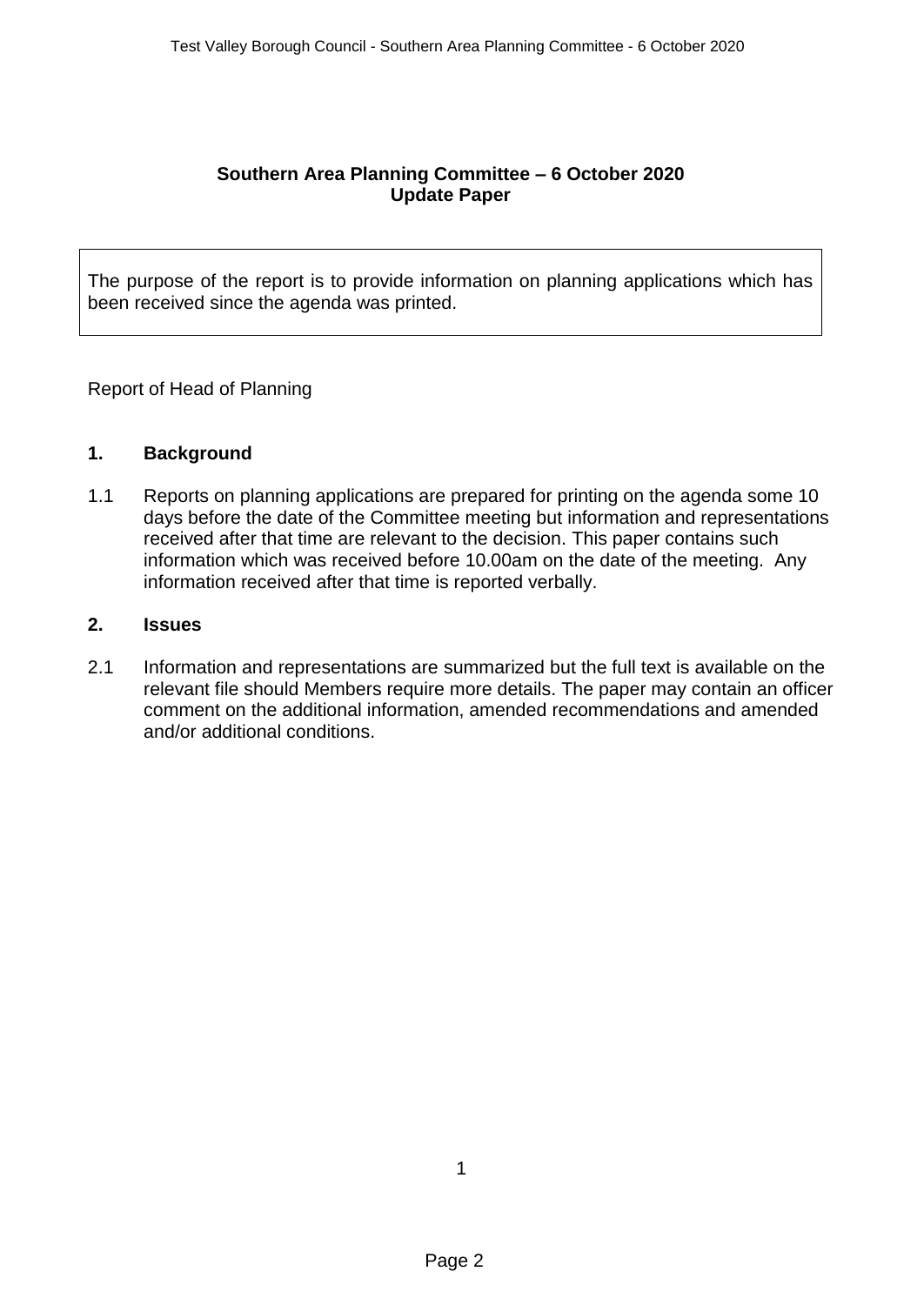# **Southern Area Planning Committee – 6 October 2020 Update Paper**

The purpose of the report is to provide information on planning applications which has been received since the agenda was printed.

Report of Head of Planning

# **1. Background**

1.1 Reports on planning applications are prepared for printing on the agenda some 10 days before the date of the Committee meeting but information and representations received after that time are relevant to the decision. This paper contains such information which was received before 10.00am on the date of the meeting. Any information received after that time is reported verbally.

# **2. Issues**

2.1 Information and representations are summarized but the full text is available on the relevant file should Members require more details. The paper may contain an officer comment on the additional information, amended recommendations and amended and/or additional conditions.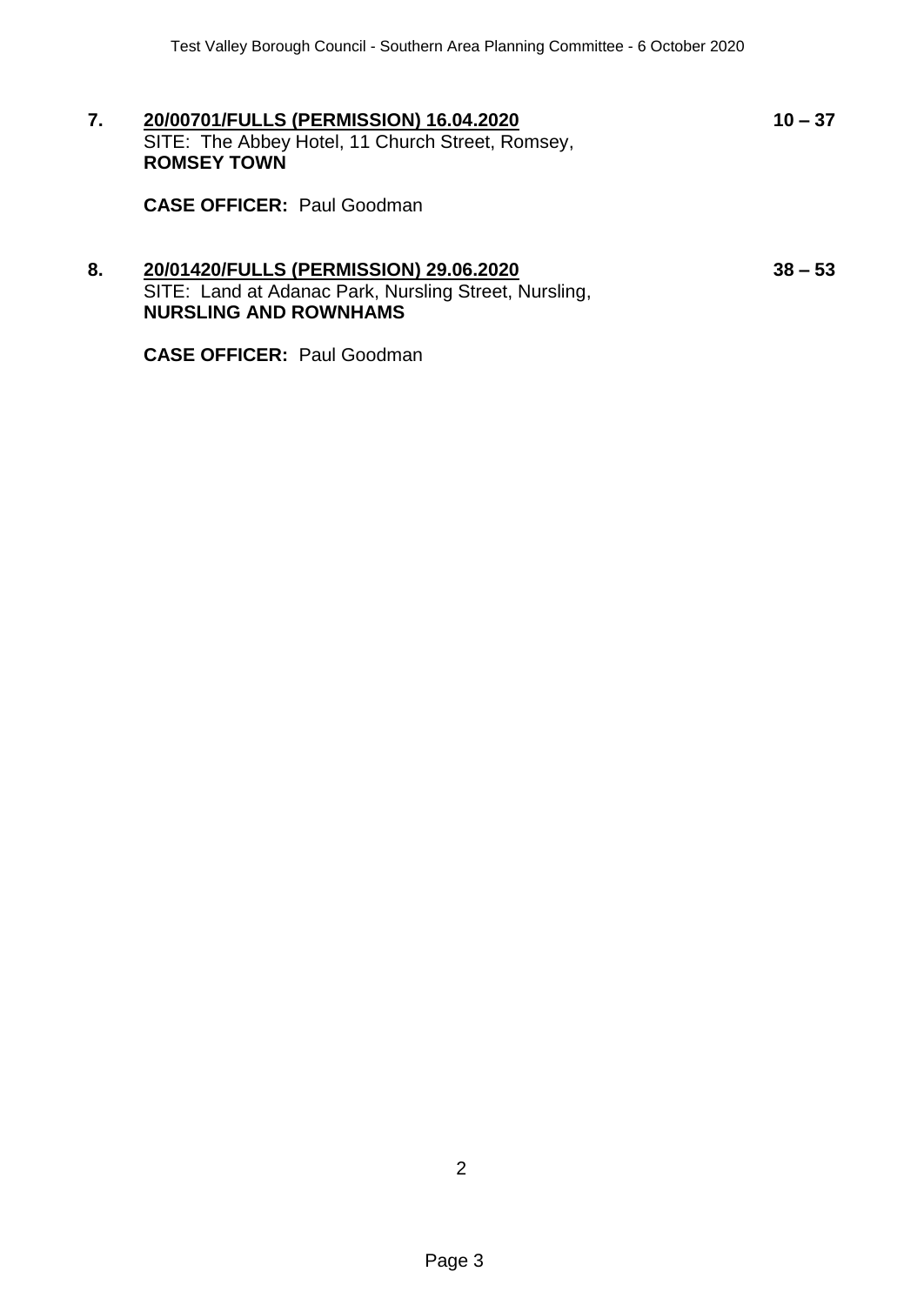**7. 20/00701/FULLS (PERMISSION) 16.04.2020 10 – 37** SITE: The Abbey Hotel, 11 Church Street, Romsey, **ROMSEY TOWN**

**CASE OFFICER:** Paul Goodman

# **8. 20/01420/FULLS (PERMISSION) 29.06.2020 38 – 53** SITE: Land at Adanac Park, Nursling Street, Nursling, **NURSLING AND ROWNHAMS**

**CASE OFFICER:** Paul Goodman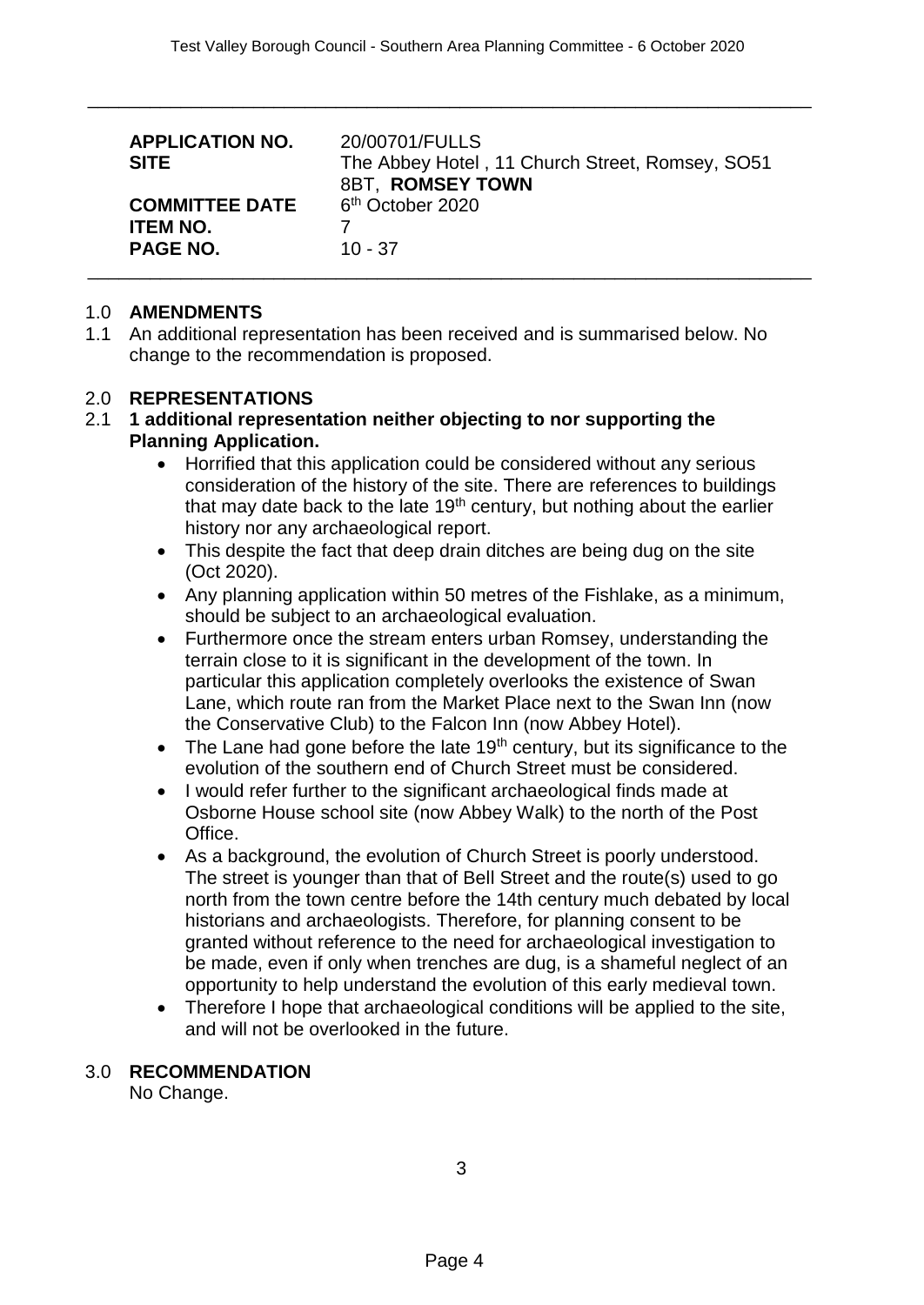\_\_\_\_\_\_\_\_\_\_\_\_\_\_\_\_\_\_\_\_\_\_\_\_\_\_\_\_\_\_\_\_\_\_\_\_\_\_\_\_\_\_\_\_\_\_\_\_\_\_\_\_\_\_\_\_\_\_\_\_\_\_\_\_\_\_\_\_\_\_

| <b>APPLICATION NO.</b><br><b>SITE</b>                       | 20/00701/FULLS<br>The Abbey Hotel, 11 Church Street, Romsey, SO51<br>8BT, ROMSEY TOWN |
|-------------------------------------------------------------|---------------------------------------------------------------------------------------|
| <b>COMMITTEE DATE</b><br><b>ITEM NO.</b><br><b>PAGE NO.</b> | 6 <sup>th</sup> October 2020<br>$10 - 37$                                             |

#### 1.0 **AMENDMENTS**

1.1 An additional representation has been received and is summarised below. No change to the recommendation is proposed.

#### 2.0 **REPRESENTATIONS**

#### 2.1 **1 additional representation neither objecting to nor supporting the Planning Application.**

- Horrified that this application could be considered without any serious consideration of the history of the site. There are references to buildings that may date back to the late  $19<sup>th</sup>$  century, but nothing about the earlier history nor any archaeological report.
- This despite the fact that deep drain ditches are being dug on the site (Oct 2020).
- Any planning application within 50 metres of the Fishlake, as a minimum, should be subject to an archaeological evaluation.
- Furthermore once the stream enters urban Romsey, understanding the terrain close to it is significant in the development of the town. In particular this application completely overlooks the existence of Swan Lane, which route ran from the Market Place next to the Swan Inn (now the Conservative Club) to the Falcon Inn (now Abbey Hotel).
- $\bullet$  The Lane had gone before the late 19<sup>th</sup> century, but its significance to the evolution of the southern end of Church Street must be considered.
- I would refer further to the significant archaeological finds made at Osborne House school site (now Abbey Walk) to the north of the Post Office.
- As a background, the evolution of Church Street is poorly understood. The street is younger than that of Bell Street and the route(s) used to go north from the town centre before the 14th century much debated by local historians and archaeologists. Therefore, for planning consent to be granted without reference to the need for archaeological investigation to be made, even if only when trenches are dug, is a shameful neglect of an opportunity to help understand the evolution of this early medieval town.
- Therefore I hope that archaeological conditions will be applied to the site, and will not be overlooked in the future.

# 3.0 **RECOMMENDATION**

No Change.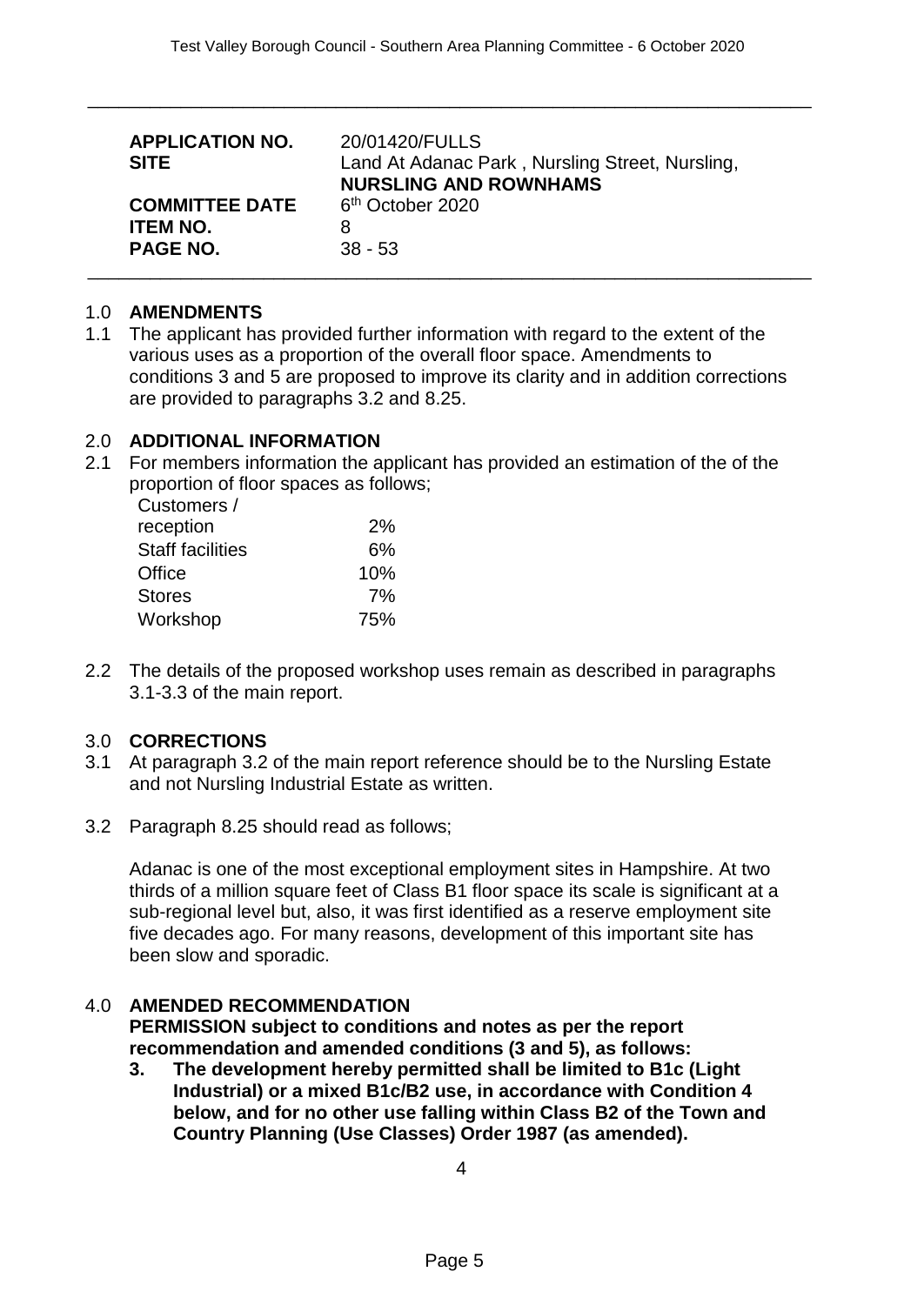\_\_\_\_\_\_\_\_\_\_\_\_\_\_\_\_\_\_\_\_\_\_\_\_\_\_\_\_\_\_\_\_\_\_\_\_\_\_\_\_\_\_\_\_\_\_\_\_\_\_\_\_\_\_\_\_\_\_\_\_\_\_\_\_\_\_\_\_\_\_

| <b>APPLICATION NO.</b><br><b>SITE</b> | 20/01420/FULLS<br>Land At Adanac Park, Nursling Street, Nursling,<br><b>NURSLING AND ROWNHAMS</b> |
|---------------------------------------|---------------------------------------------------------------------------------------------------|
| <b>COMMITTEE DATE</b>                 | 6 <sup>th</sup> October 2020                                                                      |
| <b>ITEM NO.</b>                       | 8                                                                                                 |
| <b>PAGE NO.</b>                       | $38 - 53$                                                                                         |

#### 1.0 **AMENDMENTS**

1.1 The applicant has provided further information with regard to the extent of the various uses as a proportion of the overall floor space. Amendments to conditions 3 and 5 are proposed to improve its clarity and in addition corrections are provided to paragraphs 3.2 and 8.25.

#### 2.0 **ADDITIONAL INFORMATION**

2.1 For members information the applicant has provided an estimation of the of the proportion of floor spaces as follows;

| Customers /             |     |
|-------------------------|-----|
| reception               | 2%  |
| <b>Staff facilities</b> | 6%  |
| Office                  | 10% |
| <b>Stores</b>           | 7%  |
| Workshop                | 75% |

2.2 The details of the proposed workshop uses remain as described in paragraphs 3.1-3.3 of the main report.

# 3.0 **CORRECTIONS**

- 3.1 At paragraph 3.2 of the main report reference should be to the Nursling Estate and not Nursling Industrial Estate as written.
- 3.2 Paragraph 8.25 should read as follows;

Adanac is one of the most exceptional employment sites in Hampshire. At two thirds of a million square feet of Class B1 floor space its scale is significant at a sub-regional level but, also, it was first identified as a reserve employment site five decades ago. For many reasons, development of this important site has been slow and sporadic.

# 4.0 **AMENDED RECOMMENDATION**

**PERMISSION subject to conditions and notes as per the report recommendation and amended conditions (3 and 5), as follows:**

**3. The development hereby permitted shall be limited to B1c (Light Industrial) or a mixed B1c/B2 use, in accordance with Condition 4 below, and for no other use falling within Class B2 of the Town and Country Planning (Use Classes) Order 1987 (as amended).**